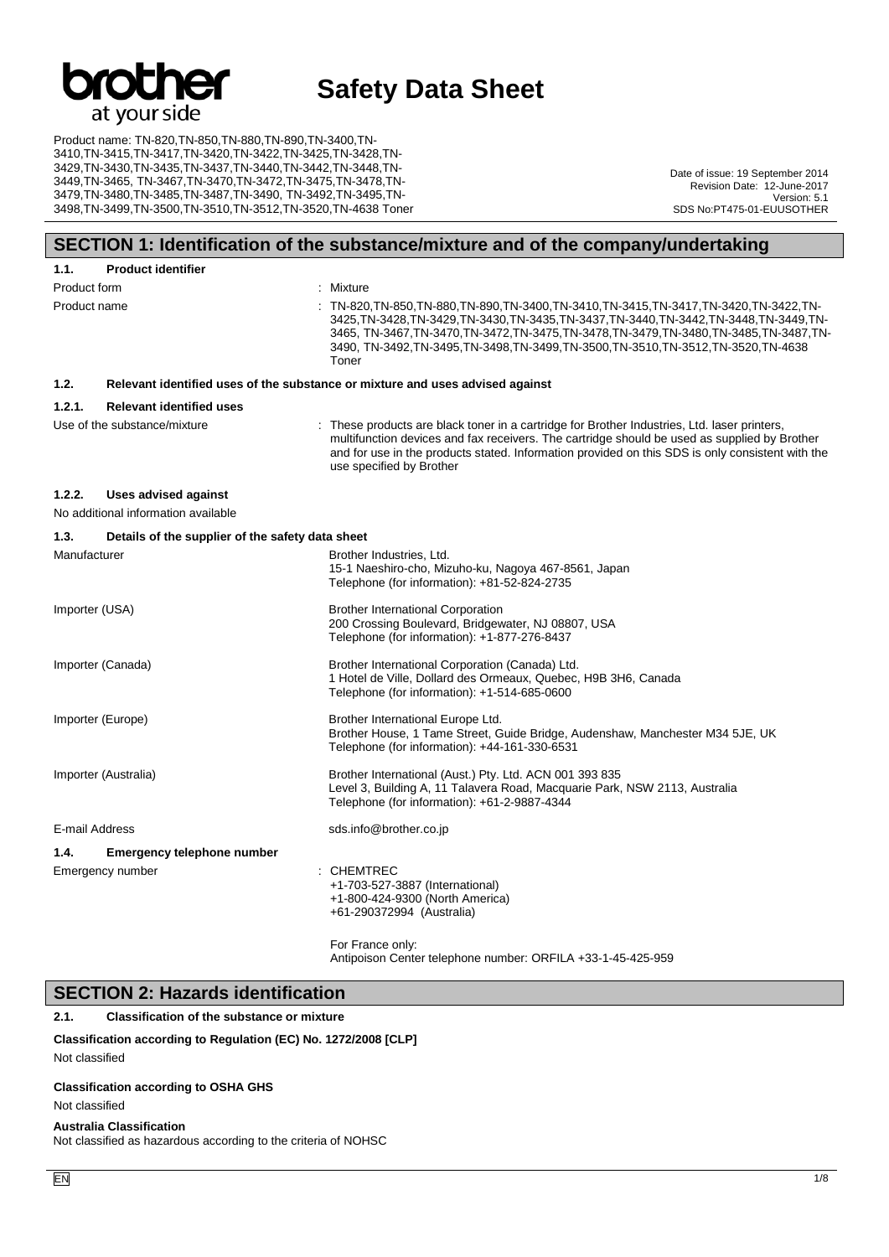

Product name: TN-820,TN-850,TN-880,TN-890,TN-3400,TN-3410,TN-3415,TN-3417,TN-3420,TN-3422,TN-3425,TN-3428,TN-3429,TN-3430,TN-3435,TN-3437,TN-3440,TN-3442,TN-3448,TN-3449,TN-3465, TN-3467,TN-3470,TN-3472,TN-3475,TN-3478,TN-3479,TN-3480,TN-3485,TN-3487,TN-3490, TN-3492,TN-3495,TN-3498,TN-3499,TN-3500,TN-3510,TN-3512,TN-3520,TN-4638 Toner

Date of issue: 19 September 2014 Revision Date: 12-June-2017 Version: 5.1 SDS No:PT475-01-EUUSOTHER

### **SECTION 1: Identification of the substance/mixture and of the company/undertaking**

| 1.1.           | <b>Product identifier</b>                                                     |  |                                                                                                                                                                                                                                                                                                                                                                       |  |  |  |
|----------------|-------------------------------------------------------------------------------|--|-----------------------------------------------------------------------------------------------------------------------------------------------------------------------------------------------------------------------------------------------------------------------------------------------------------------------------------------------------------------------|--|--|--|
| Product form   |                                                                               |  | : Mixture                                                                                                                                                                                                                                                                                                                                                             |  |  |  |
| Product name   |                                                                               |  | TN-820, TN-850, TN-880, TN-890, TN-3400, TN-3410, TN-3415, TN-3417, TN-3420, TN-3422, TN-<br>3425.TN-3428.TN-3429.TN-3430.TN-3435.TN-3437.TN-3440.TN-3442.TN-3448.TN-3449.TN-<br>3465, TN-3467, TN-3470, TN-3472, TN-3475, TN-3478, TN-3479, TN-3480, TN-3485, TN-3487, TN-<br>3490, TN-3492,TN-3495,TN-3498,TN-3499,TN-3500,TN-3510,TN-3512,TN-3520,TN-4638<br>Toner |  |  |  |
| 1.2.           | Relevant identified uses of the substance or mixture and uses advised against |  |                                                                                                                                                                                                                                                                                                                                                                       |  |  |  |
| 1.2.1.         | <b>Relevant identified uses</b>                                               |  |                                                                                                                                                                                                                                                                                                                                                                       |  |  |  |
|                | Use of the substance/mixture                                                  |  | : These products are black toner in a cartridge for Brother Industries, Ltd. laser printers,<br>multifunction devices and fax receivers. The cartridge should be used as supplied by Brother<br>and for use in the products stated. Information provided on this SDS is only consistent with the<br>use specified by Brother                                          |  |  |  |
| 1.2.2.         | <b>Uses advised against</b>                                                   |  |                                                                                                                                                                                                                                                                                                                                                                       |  |  |  |
|                | No additional information available                                           |  |                                                                                                                                                                                                                                                                                                                                                                       |  |  |  |
| 1.3.           | Details of the supplier of the safety data sheet                              |  |                                                                                                                                                                                                                                                                                                                                                                       |  |  |  |
| Manufacturer   |                                                                               |  | Brother Industries, Ltd.<br>15-1 Naeshiro-cho, Mizuho-ku, Nagoya 467-8561, Japan<br>Telephone (for information): +81-52-824-2735                                                                                                                                                                                                                                      |  |  |  |
| Importer (USA) |                                                                               |  | <b>Brother International Corporation</b><br>200 Crossing Boulevard, Bridgewater, NJ 08807, USA<br>Telephone (for information): +1-877-276-8437                                                                                                                                                                                                                        |  |  |  |
|                | Importer (Canada)                                                             |  | Brother International Corporation (Canada) Ltd.<br>1 Hotel de Ville, Dollard des Ormeaux, Quebec, H9B 3H6, Canada<br>Telephone (for information): +1-514-685-0600                                                                                                                                                                                                     |  |  |  |
|                | Importer (Europe)                                                             |  | Brother International Europe Ltd.<br>Brother House, 1 Tame Street, Guide Bridge, Audenshaw, Manchester M34 5JE, UK<br>Telephone (for information): +44-161-330-6531                                                                                                                                                                                                   |  |  |  |
|                | Importer (Australia)                                                          |  | Brother International (Aust.) Pty. Ltd. ACN 001 393 835<br>Level 3, Building A, 11 Talavera Road, Macquarie Park, NSW 2113, Australia<br>Telephone (for information): +61-2-9887-4344                                                                                                                                                                                 |  |  |  |
| E-mail Address |                                                                               |  | sds.info@brother.co.jp                                                                                                                                                                                                                                                                                                                                                |  |  |  |
| 1.4.           | Emergency telephone number                                                    |  |                                                                                                                                                                                                                                                                                                                                                                       |  |  |  |
|                | Emergency number                                                              |  | : CHEMTREC<br>+1-703-527-3887 (International)<br>+1-800-424-9300 (North America)<br>+61-290372994 (Australia)                                                                                                                                                                                                                                                         |  |  |  |
|                |                                                                               |  | For France only:                                                                                                                                                                                                                                                                                                                                                      |  |  |  |

or France Antipoison Center telephone number: ORFILA +33-1-45-425-959

#### **SECTION 2: Hazards identification**

**2.1. Classification of the substance or mixture**

#### **Classification according to Regulation (EC) No. 1272/2008 [CLP]**

Not classified

#### **Classification according to OSHA GHS**

Not classified

#### **Australia Classification**

Not classified as hazardous according to the criteria of NOHSC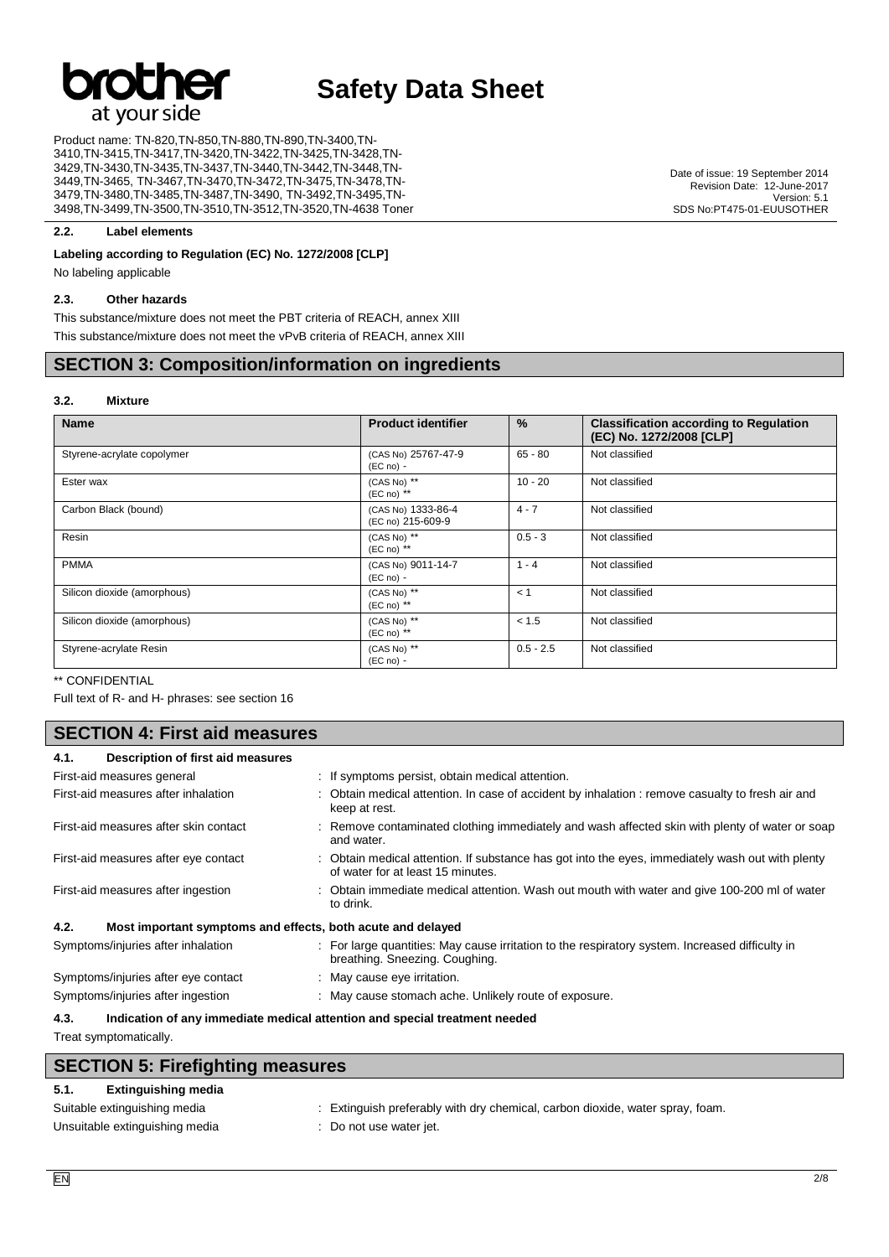

Product name: TN-820,TN-850,TN-880,TN-890,TN-3400,TN-3410,TN-3415,TN-3417,TN-3420,TN-3422,TN-3425,TN-3428,TN-3429,TN-3430,TN-3435,TN-3437,TN-3440,TN-3442,TN-3448,TN-3449,TN-3465, TN-3467,TN-3470,TN-3472,TN-3475,TN-3478,TN-3479,TN-3480,TN-3485,TN-3487,TN-3490, TN-3492,TN-3495,TN-3498,TN-3499,TN-3500,TN-3510,TN-3512,TN-3520,TN-4638 Toner

Date of issue: 19 September 2014 Revision Date: 12-June-2017 Version: 5.1 SDS No:PT475-01-EUUSOTHER

#### **2.2. Label elements**

#### **Labeling according to Regulation (EC) No. 1272/2008 [CLP]**

No labeling applicable

#### **2.3. Other hazards**

This substance/mixture does not meet the PBT criteria of REACH, annex XIII This substance/mixture does not meet the vPvB criteria of REACH, annex XIII

#### **SECTION 3: Composition/information on ingredients**

#### **3.2. Mixture**

| <b>Name</b>                 | <b>Product identifier</b>               | %           | <b>Classification according to Regulation</b><br>(EC) No. 1272/2008 [CLP] |
|-----------------------------|-----------------------------------------|-------------|---------------------------------------------------------------------------|
| Styrene-acrylate copolymer  | (CAS No) 25767-47-9<br>$(EC no) -$      | $65 - 80$   | Not classified                                                            |
| Ester wax                   | (CAS No) **<br>$(EC \n  no)$ **         | $10 - 20$   | Not classified                                                            |
| Carbon Black (bound)        | (CAS No) 1333-86-4<br>(EC no) 215-609-9 | $4 - 7$     | Not classified                                                            |
| Resin                       | (CAS No) **<br>$(EC \n  no)$ **         | $0.5 - 3$   | Not classified                                                            |
| <b>PMMA</b>                 | (CAS No) 9011-14-7<br>$(EC no) -$       | $1 - 4$     | Not classified                                                            |
| Silicon dioxide (amorphous) | (CAS No) **<br>$(EC \n  no)$ **         | $\lt$ 1     | Not classified                                                            |
| Silicon dioxide (amorphous) | (CAS No) **<br>$(EC \n  no)$ **         | < 1.5       | Not classified                                                            |
| Styrene-acrylate Resin      | (CAS No) **<br>$(EC no) -$              | $0.5 - 2.5$ | Not classified                                                            |

\*\* CONFIDENTIAL

Full text of R- and H- phrases: see section 16

#### **SECTION 4: First aid measures**

| Description of first aid measures<br>4.1.                           |                                                                                                                                       |  |
|---------------------------------------------------------------------|---------------------------------------------------------------------------------------------------------------------------------------|--|
| First-aid measures general                                          | : If symptoms persist, obtain medical attention.                                                                                      |  |
| First-aid measures after inhalation                                 | Obtain medical attention. In case of accident by inhalation : remove casualty to fresh air and<br>keep at rest.                       |  |
| First-aid measures after skin contact                               | : Remove contaminated clothing immediately and wash affected skin with plenty of water or soap<br>and water.                          |  |
| First-aid measures after eye contact                                | : Obtain medical attention. If substance has got into the eyes, immediately wash out with plenty<br>of water for at least 15 minutes. |  |
| First-aid measures after ingestion                                  | : Obtain immediate medical attention. Wash out mouth with water and give 100-200 ml of water<br>to drink.                             |  |
| 4.2.<br>Most important symptoms and effects, both acute and delayed |                                                                                                                                       |  |
| Symptoms/injuries after inhalation                                  | : For large quantities: May cause irritation to the respiratory system. Increased difficulty in<br>breathing. Sneezing. Coughing.     |  |
| Symptoms/injuries after eye contact                                 | : May cause eye irritation.                                                                                                           |  |
| Symptoms/injuries after ingestion                                   | : May cause stomach ache. Unlikely route of exposure.                                                                                 |  |

**4.3. Indication of any immediate medical attention and special treatment needed**

Treat symptomatically.

|      | <b>SECTION 5: Firefighting measures</b> |
|------|-----------------------------------------|
| 5.1. | Extinguishing media                     |

| Suitable extinguishing media   | : Extinguish preferably with dry chemical, carbon dioxide, water spray, foam. |
|--------------------------------|-------------------------------------------------------------------------------|
| Unsuitable extinguishing media | : Do not use water jet.                                                       |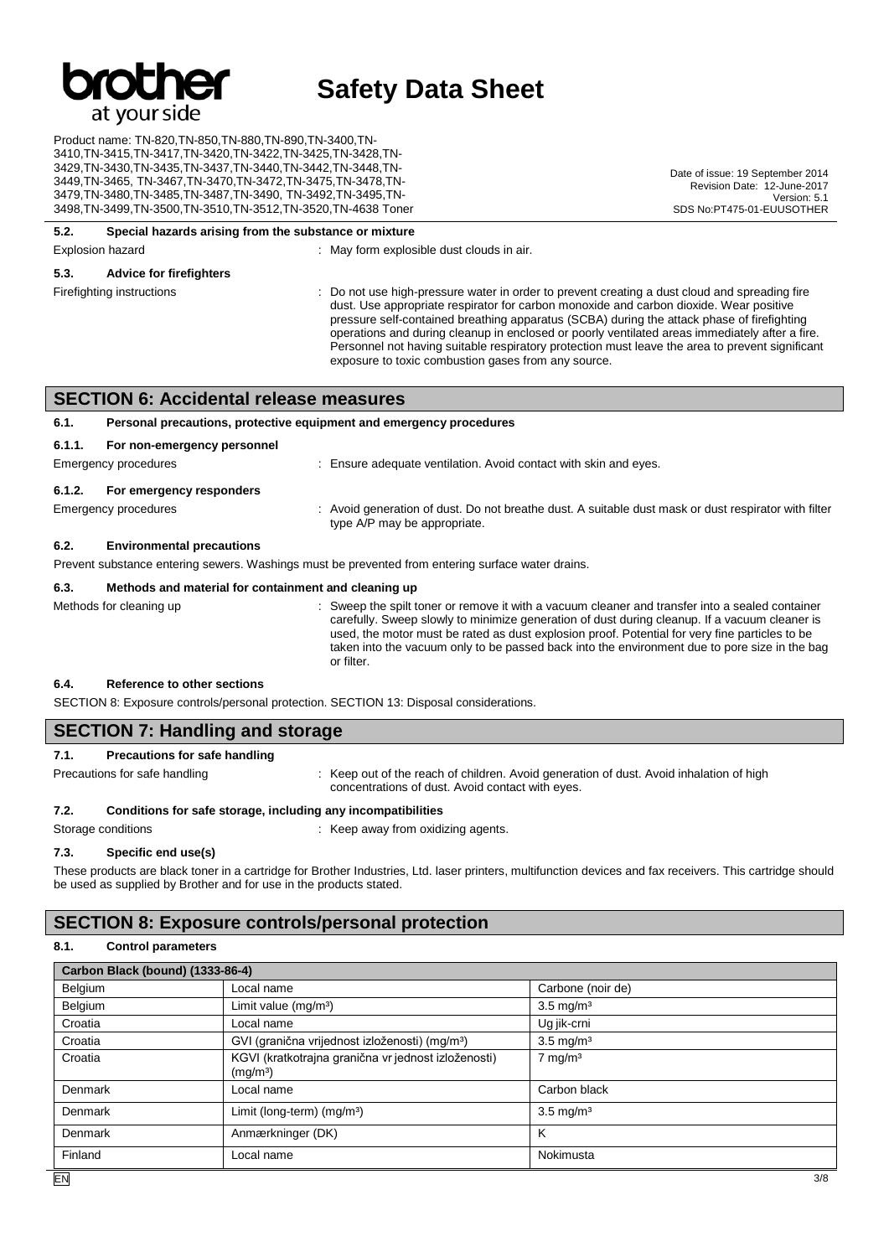

Product name: TN-820,TN-850,TN-880,TN-890,TN-3400,TN-3410,TN-3415,TN-3417,TN-3420,TN-3422,TN-3425,TN-3428,TN-3429,TN-3430,TN-3435,TN-3437,TN-3440,TN-3442,TN-3448,TN-3449,TN-3465, TN-3467,TN-3470,TN-3472,TN-3475,TN-3478,TN-3479,TN-3480,TN-3485,TN-3487,TN-3490, TN-3492,TN-3495,TN-3498,TN-3499,TN-3500,TN-3510,TN-3512,TN-3520,TN-4638 Toner

#### **5.2. Special hazards arising from the substance or mixture**

Explosion hazard **Explosion hazard** : May form explosible dust clouds in air.

#### **5.3. Advice for firefighters**

Firefighting instructions : Do not use high-pressure water in order to prevent creating a dust cloud and spreading fire dust. Use appropriate respirator for carbon monoxide and carbon dioxide. Wear positive pressure self-contained breathing apparatus (SCBA) during the attack phase of firefighting operations and during cleanup in enclosed or poorly ventilated areas immediately after a fire. Personnel not having suitable respiratory protection must leave the area to prevent significant exposure to toxic combustion gases from any source.

Date of issue: 19 September 2014 Revision Date: 12-June-2017

SDS No:PT475-01-EUUSOTHER

Version: 5.1

#### **SECTION 6: Accidental release measures**

#### **6.1. Personal precautions, protective equipment and emergency procedures**

| 6.1.1.<br>For non-emergency personnel |                                                                  |
|---------------------------------------|------------------------------------------------------------------|
| Emergency procedures                  | : Ensure adequate ventilation. Avoid contact with skin and eyes. |
| 6.1.2.<br>For emergency responders    |                                                                  |

Emergency procedures : Avoid generation of dust. Do not breathe dust. A suitable dust mask or dust respirator with filter type A/P may be appropriate.

#### **6.2. Environmental precautions**

Prevent substance entering sewers. Washings must be prevented from entering surface water drains.

#### **6.3. Methods and material for containment and cleaning up**

Methods for cleaning up : Sweep the spilt toner or remove it with a vacuum cleaner and transfer into a sealed container carefully. Sweep slowly to minimize generation of dust during cleanup. If a vacuum cleaner is used, the motor must be rated as dust explosion proof. Potential for very fine particles to be taken into the vacuum only to be passed back into the environment due to pore size in the bag or filter.

#### **6.4. Reference to other sections**

SECTION 8: Exposure controls/personal protection. SECTION 13: Disposal considerations.

#### **SECTION 7: Handling and storage**

#### **7.1. Precautions for safe handling**

Precautions for safe handling : Keep out of the reach of children. Avoid generation of dust. Avoid inhalation of high concentrations of dust. Avoid contact with eyes.

#### **7.2. Conditions for safe storage, including any incompatibilities**

Storage conditions **Storage conditions** : Keep away from oxidizing agents.

#### **7.3. Specific end use(s)**

These products are black toner in a cartridge for Brother Industries, Ltd. laser printers, multifunction devices and fax receivers. This cartridge should be used as supplied by Brother and for use in the products stated.

#### **SECTION 8: Exposure controls/personal protection**

#### **8.1. Control parameters**

| Carbon Black (bound) (1333-86-4) |                                                                             |                      |  |
|----------------------------------|-----------------------------------------------------------------------------|----------------------|--|
| Belgium                          | Local name                                                                  | Carbone (noir de)    |  |
| Belgium                          | Limit value (mg/m <sup>3</sup> )                                            | $3.5 \text{ mg/m}^3$ |  |
| Croatia                          | Local name                                                                  | Ug jik-crni          |  |
| Croatia                          | GVI (granična vrijednost izloženosti) (mg/m <sup>3</sup> )                  | $3.5 \text{ mg/m}^3$ |  |
| Croatia                          | KGVI (kratkotrajna granična vr jednost izloženosti)<br>(mg/m <sup>3</sup> ) | $7 \text{ mg/m}^3$   |  |
| Denmark                          | Local name                                                                  | Carbon black         |  |
| Denmark                          | Limit (long-term) $(mg/m3)$                                                 | $3.5 \text{ mg/m}^3$ |  |
| Denmark                          | Anmærkninger (DK)                                                           | ĸ                    |  |
| Finland                          | Local name                                                                  | Nokimusta            |  |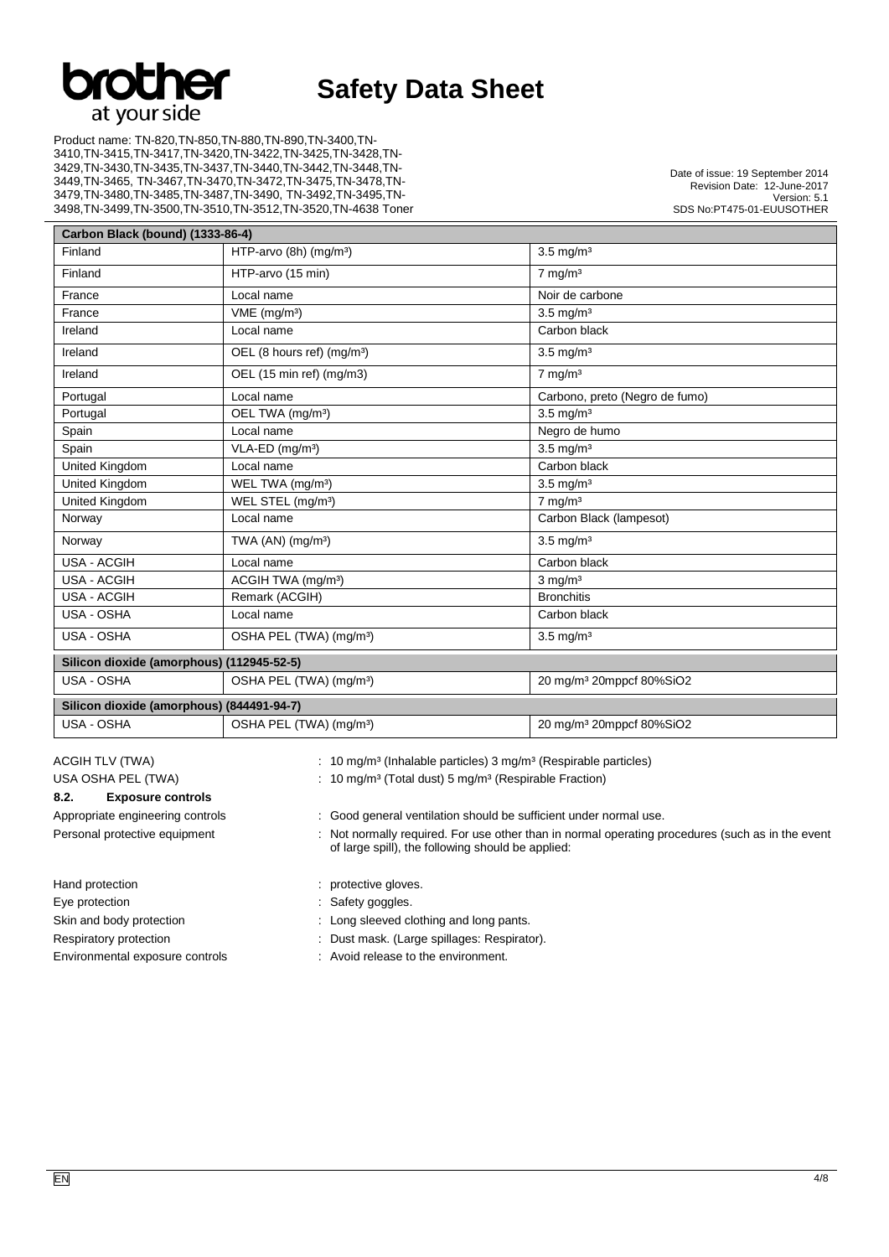

Product name: TN-820,TN-850,TN-880,TN-890,TN-3400,TN-3410,TN-3415,TN-3417,TN-3420,TN-3422,TN-3425,TN-3428,TN-3429,TN-3430,TN-3435,TN-3437,TN-3440,TN-3442,TN-3448,TN-3449,TN-3465, TN-3467,TN-3470,TN-3472,TN-3475,TN-3478,TN-3479,TN-3480,TN-3485,TN-3487,TN-3490, TN-3492,TN-3495,TN-3498,TN-3499,TN-3500,TN-3510,TN-3512,TN-3520,TN-4638 Toner

Date of issue: 19 September 2014 Revision Date: 12-June-2017 Version: 5.1 SDS No:PT475-01-EUUSOTHER

| Carbon Black (bound) (1333-86-4)          |                                        |                                      |  |  |
|-------------------------------------------|----------------------------------------|--------------------------------------|--|--|
| Finland                                   | HTP-arvo (8h) (mg/m <sup>3</sup> )     | $3.5 \text{ mg/m}^3$                 |  |  |
| Finland                                   | HTP-arvo (15 min)                      | $7 \text{ mg/m}^3$                   |  |  |
| France                                    | Local name                             | Noir de carbone                      |  |  |
| France                                    | VME (mg/m <sup>3</sup> )               | $3.5$ mg/m <sup>3</sup>              |  |  |
| Ireland                                   | Local name                             | Carbon black                         |  |  |
| Ireland                                   | OEL (8 hours ref) (mg/m <sup>3</sup> ) | $3.5 \text{ mg/m}^3$                 |  |  |
| Ireland                                   | OEL (15 min ref) (mg/m3)               | $7$ mg/m <sup>3</sup>                |  |  |
| Portugal                                  | Local name                             | Carbono, preto (Negro de fumo)       |  |  |
| Portugal                                  | OEL TWA (mg/m <sup>3</sup> )           | $3.5 \text{ mg/m}^3$                 |  |  |
| Spain                                     | Local name                             | Negro de humo                        |  |  |
| Spain                                     | VLA-ED (mg/m <sup>3</sup> )            | $3.5 \text{ mg/m}^3$                 |  |  |
| <b>United Kingdom</b>                     | Local name                             | Carbon black                         |  |  |
| United Kingdom                            | WEL TWA (mg/m <sup>3</sup> )           | $3.5 \text{ mg/m}^3$                 |  |  |
| United Kingdom                            | WEL STEL (mg/m <sup>3</sup> )          | $7 \text{ mg/m}^3$                   |  |  |
| Norway                                    | Local name                             | Carbon Black (lampesot)              |  |  |
| Norway                                    | TWA $(AN)$ (mg/m <sup>3</sup> )        | $3.5 \text{ mg/m}^3$                 |  |  |
| <b>USA - ACGIH</b>                        | Local name                             | Carbon black                         |  |  |
| <b>USA - ACGIH</b>                        | ACGIH TWA (mg/m <sup>3</sup> )         | $3$ mg/m <sup>3</sup>                |  |  |
| <b>USA - ACGIH</b>                        | Remark (ACGIH)                         | <b>Bronchitis</b>                    |  |  |
| USA - OSHA                                | Local name                             | Carbon black                         |  |  |
| USA - OSHA                                | OSHA PEL (TWA) (mg/m <sup>3</sup> )    | $3.5 \text{ mg/m}^3$                 |  |  |
| Silicon dioxide (amorphous) (112945-52-5) |                                        |                                      |  |  |
| USA - OSHA                                | OSHA PEL (TWA) (mg/m <sup>3</sup> )    | 20 mg/m <sup>3</sup> 20mppcf 80%SiO2 |  |  |
| Silicon dioxide (amorphous) (844491-94-7) |                                        |                                      |  |  |
| USA - OSHA                                | OSHA PEL (TWA) (mg/m <sup>3</sup> )    | 20 mg/m <sup>3</sup> 20mppcf 80%SiO2 |  |  |

#### **8.2. Exposure controls**

- 
- 
- 
- 
- ACGIH TLV (TWA) : 10 mg/m<sup>3</sup> (Inhalable particles) 3 mg/m<sup>3</sup> (Respirable particles)
- USA OSHA PEL (TWA) : 10 mg/m<sup>3</sup> (Total dust) 5 mg/m<sup>3</sup> (Respirable Fraction)

Appropriate engineering controls : Good general ventilation should be sufficient under normal use.

Personal protective equipment : Not normally required. For use other than in normal operating procedures (such as in the event of large spill), the following should be applied:

#### Hand protection **intervalse and protective gloves**.

- Eye protection in the same state of the Safety goggles.
- Skin and body protection : Long sleeved clothing and long pants.
- Respiratory protection : Dust mask. (Large spillages: Respirator).
- Environmental exposure controls : Avoid release to the environment.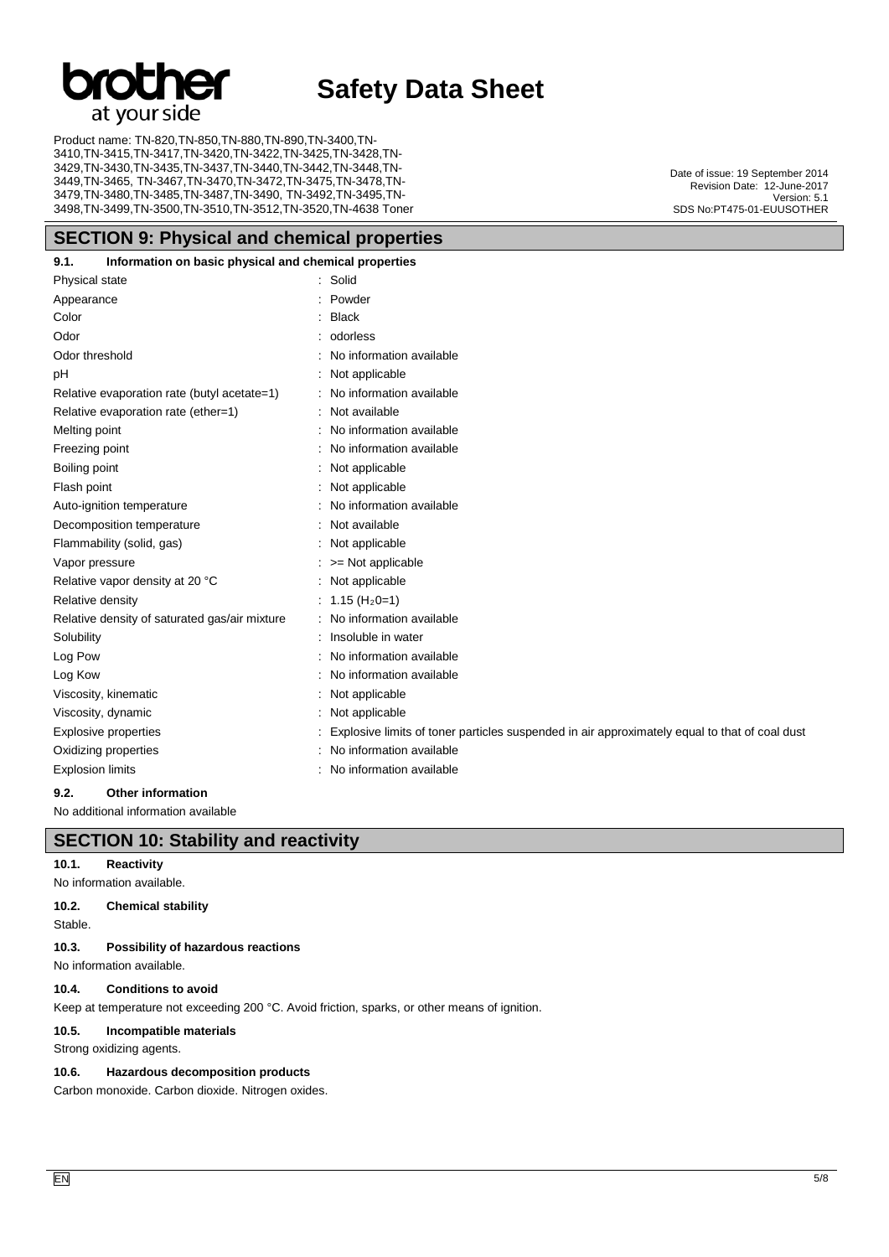# at your side

## **Safety Data Sheet**

Product name: TN-820,TN-850,TN-880,TN-890,TN-3400,TN-3410,TN-3415,TN-3417,TN-3420,TN-3422,TN-3425,TN-3428,TN-3429,TN-3430,TN-3435,TN-3437,TN-3440,TN-3442,TN-3448,TN-3449,TN-3465, TN-3467,TN-3470,TN-3472,TN-3475,TN-3478,TN-3479,TN-3480,TN-3485,TN-3487,TN-3490, TN-3492,TN-3495,TN-3498,TN-3499,TN-3500,TN-3510,TN-3512,TN-3520,TN-4638 Toner

#### **SECTION 9: Physical and chemical properties**

#### **9.1. Information on basic physical and chemical properties**

| Physical state                                | Solid                                                                                         |
|-----------------------------------------------|-----------------------------------------------------------------------------------------------|
| Appearance                                    | Powder                                                                                        |
| Color                                         | <b>Black</b>                                                                                  |
| Odor                                          | odorless                                                                                      |
| Odor threshold                                | No information available                                                                      |
| рH                                            | Not applicable                                                                                |
| Relative evaporation rate (butyl acetate=1)   | No information available                                                                      |
| Relative evaporation rate (ether=1)           | Not available                                                                                 |
| Melting point                                 | No information available                                                                      |
| Freezing point                                | No information available                                                                      |
| Boiling point                                 | Not applicable                                                                                |
| Flash point                                   | Not applicable                                                                                |
| Auto-ignition temperature                     | No information available                                                                      |
| Decomposition temperature                     | Not available                                                                                 |
| Flammability (solid, gas)                     | Not applicable                                                                                |
| Vapor pressure                                | >= Not applicable                                                                             |
| Relative vapor density at 20 °C               | Not applicable                                                                                |
| Relative density                              | 1.15 (H <sub>2</sub> 0=1)                                                                     |
| Relative density of saturated gas/air mixture | No information available                                                                      |
| Solubility                                    | Insoluble in water                                                                            |
| Log Pow                                       | No information available                                                                      |
| Log Kow                                       | No information available                                                                      |
| Viscosity, kinematic                          | Not applicable                                                                                |
| Viscosity, dynamic                            | Not applicable                                                                                |
| <b>Explosive properties</b>                   | Explosive limits of toner particles suspended in air approximately equal to that of coal dust |
| Oxidizing properties                          | No information available                                                                      |
| <b>Explosion limits</b>                       | No information available                                                                      |
|                                               |                                                                                               |

#### **9.2. Other information**

No additional information available

#### **SECTION 10: Stability and reactivity**

#### **10.1. Reactivity**

No information available.

#### **10.2. Chemical stability**

Stable.

#### **10.3. Possibility of hazardous reactions**

No information available.

#### **10.4. Conditions to avoid**

Keep at temperature not exceeding 200 °C. Avoid friction, sparks, or other means of ignition.

#### **10.5. Incompatible materials**

Strong oxidizing agents.

#### **10.6. Hazardous decomposition products**

Carbon monoxide. Carbon dioxide. Nitrogen oxides.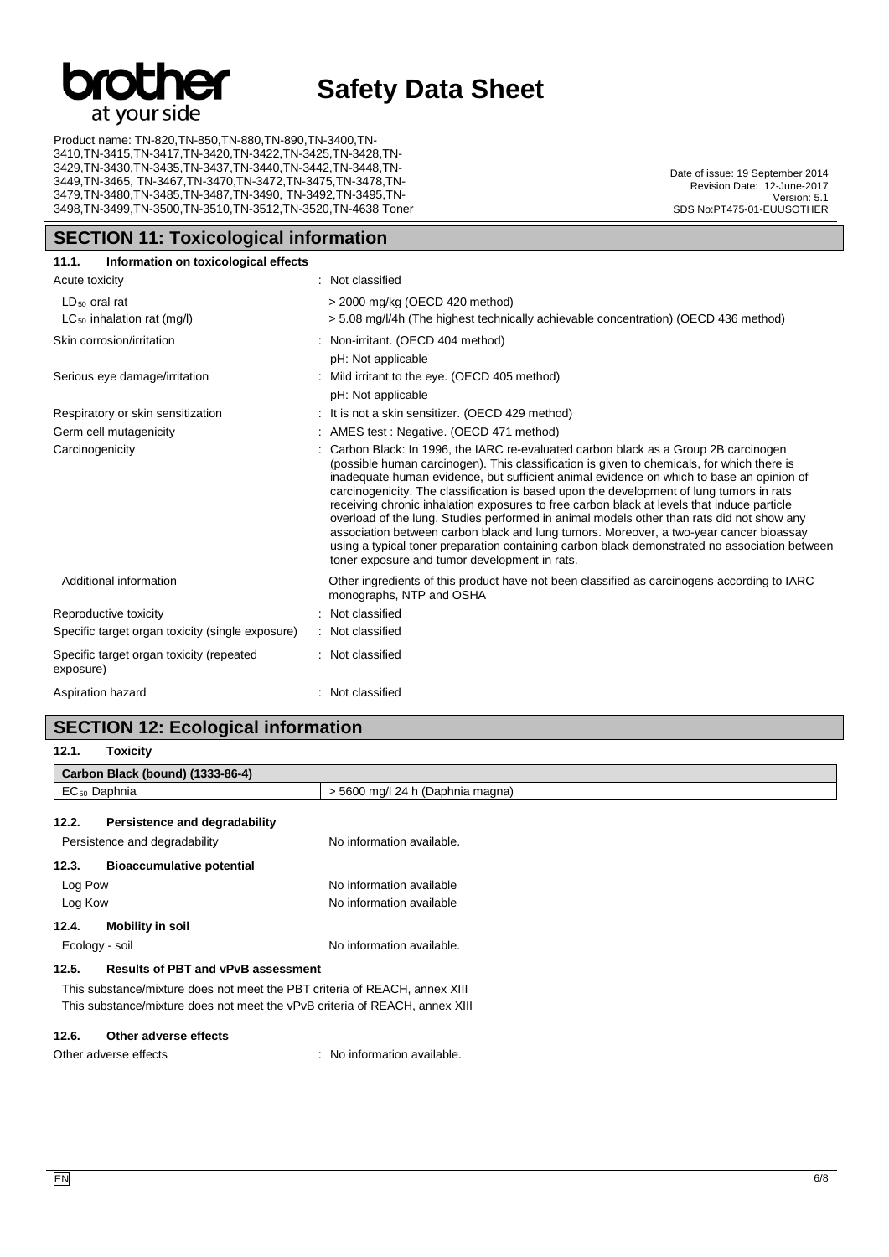

Product name: TN-820,TN-850,TN-880,TN-890,TN-3400,TN-3410,TN-3415,TN-3417,TN-3420,TN-3422,TN-3425,TN-3428,TN-3429,TN-3430,TN-3435,TN-3437,TN-3440,TN-3442,TN-3448,TN-3449,TN-3465, TN-3467,TN-3470,TN-3472,TN-3475,TN-3478,TN-3479,TN-3480,TN-3485,TN-3487,TN-3490, TN-3492,TN-3495,TN-3498,TN-3499,TN-3500,TN-3510,TN-3512,TN-3520,TN-4638 Toner

**SECTION 11: Toxicological information**

Date of issue: 19 September 2014 Revision Date: 12-June-2017 Version: 5.1 SDS No:PT475-01-EUUSOTHER

| 11.1.<br>Information on toxicological effects         |                                                                                                                                                                                                                                                                                                                                                                                                                                                                                                                                                                                                                                                                                                                                                                                                                 |
|-------------------------------------------------------|-----------------------------------------------------------------------------------------------------------------------------------------------------------------------------------------------------------------------------------------------------------------------------------------------------------------------------------------------------------------------------------------------------------------------------------------------------------------------------------------------------------------------------------------------------------------------------------------------------------------------------------------------------------------------------------------------------------------------------------------------------------------------------------------------------------------|
| Acute toxicity                                        | : Not classified                                                                                                                                                                                                                                                                                                                                                                                                                                                                                                                                                                                                                                                                                                                                                                                                |
| $LD_{50}$ oral rat<br>$LC_{50}$ inhalation rat (mg/l) | > 2000 mg/kg (OECD 420 method)<br>> 5.08 mg/l/4h (The highest technically achievable concentration) (OECD 436 method)                                                                                                                                                                                                                                                                                                                                                                                                                                                                                                                                                                                                                                                                                           |
| Skin corrosion/irritation                             | : Non-irritant. (OECD 404 method)<br>pH: Not applicable                                                                                                                                                                                                                                                                                                                                                                                                                                                                                                                                                                                                                                                                                                                                                         |
| Serious eye damage/irritation                         | Mild irritant to the eye. (OECD 405 method)<br>pH: Not applicable                                                                                                                                                                                                                                                                                                                                                                                                                                                                                                                                                                                                                                                                                                                                               |
| Respiratory or skin sensitization                     | : It is not a skin sensitizer. (OECD 429 method)                                                                                                                                                                                                                                                                                                                                                                                                                                                                                                                                                                                                                                                                                                                                                                |
| Germ cell mutagenicity                                | AMES test: Negative. (OECD 471 method)                                                                                                                                                                                                                                                                                                                                                                                                                                                                                                                                                                                                                                                                                                                                                                          |
| Carcinogenicity                                       | Carbon Black: In 1996, the IARC re-evaluated carbon black as a Group 2B carcinogen<br>(possible human carcinogen). This classification is given to chemicals, for which there is<br>inadequate human evidence, but sufficient animal evidence on which to base an opinion of<br>carcinogenicity. The classification is based upon the development of lung tumors in rats<br>receiving chronic inhalation exposures to free carbon black at levels that induce particle<br>overload of the lung. Studies performed in animal models other than rats did not show any<br>association between carbon black and lung tumors. Moreover, a two-year cancer bioassay<br>using a typical toner preparation containing carbon black demonstrated no association between<br>toner exposure and tumor development in rats. |
| Additional information                                | Other ingredients of this product have not been classified as carcinogens according to IARC<br>monographs, NTP and OSHA                                                                                                                                                                                                                                                                                                                                                                                                                                                                                                                                                                                                                                                                                         |
| Reproductive toxicity                                 | Not classified                                                                                                                                                                                                                                                                                                                                                                                                                                                                                                                                                                                                                                                                                                                                                                                                  |
| Specific target organ toxicity (single exposure)      | : Not classified                                                                                                                                                                                                                                                                                                                                                                                                                                                                                                                                                                                                                                                                                                                                                                                                |
| Specific target organ toxicity (repeated<br>exposure) | : Not classified                                                                                                                                                                                                                                                                                                                                                                                                                                                                                                                                                                                                                                                                                                                                                                                                |
| Aspiration hazard                                     | Not classified                                                                                                                                                                                                                                                                                                                                                                                                                                                                                                                                                                                                                                                                                                                                                                                                  |

#### **SECTION 12: Ecological information**

**12.1. Toxicity**

| 14.1.<br><b>LOXIGITA</b>                                                    |                                                                            |                                  |  |  |  |
|-----------------------------------------------------------------------------|----------------------------------------------------------------------------|----------------------------------|--|--|--|
|                                                                             | Carbon Black (bound) (1333-86-4)                                           |                                  |  |  |  |
| $EC_{50}$ Daphnia                                                           |                                                                            | > 5600 mg/l 24 h (Daphnia magna) |  |  |  |
| 12.2.                                                                       | Persistence and degradability                                              |                                  |  |  |  |
| Persistence and degradability                                               |                                                                            | No information available.        |  |  |  |
| 12.3.                                                                       | <b>Bioaccumulative potential</b>                                           |                                  |  |  |  |
| Log Pow                                                                     |                                                                            | No information available         |  |  |  |
| Log Kow                                                                     |                                                                            | No information available         |  |  |  |
| <b>Mobility in soil</b><br>12.4.                                            |                                                                            |                                  |  |  |  |
| Ecology - soil                                                              |                                                                            | No information available.        |  |  |  |
| 12.5.                                                                       | <b>Results of PBT and vPvB assessment</b>                                  |                                  |  |  |  |
|                                                                             | This substance/mixture does not meet the PBT criteria of REACH, annex XIII |                                  |  |  |  |
| This substance/mixture does not meet the vPvB criteria of REACH, annex XIII |                                                                            |                                  |  |  |  |
| 12.6.                                                                       | Other adverse effects                                                      |                                  |  |  |  |
| Other adverse effects                                                       |                                                                            | : No information available.      |  |  |  |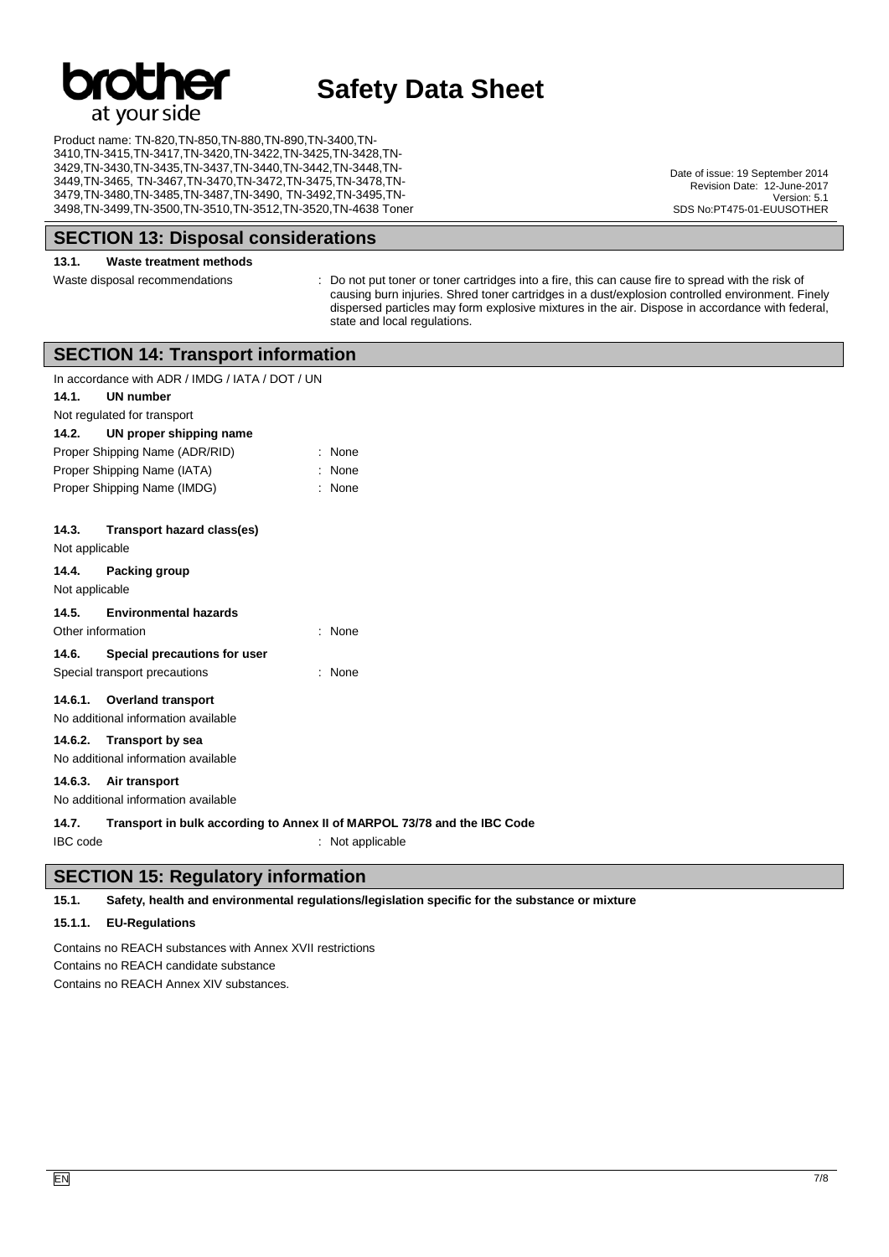

Product name: TN-820,TN-850,TN-880,TN-890,TN-3400,TN-3410,TN-3415,TN-3417,TN-3420,TN-3422,TN-3425,TN-3428,TN-3429,TN-3430,TN-3435,TN-3437,TN-3440,TN-3442,TN-3448,TN-3449,TN-3465, TN-3467,TN-3470,TN-3472,TN-3475,TN-3478,TN-3479,TN-3480,TN-3485,TN-3487,TN-3490, TN-3492,TN-3495,TN-3498,TN-3499,TN-3500,TN-3510,TN-3512,TN-3520,TN-4638 Toner

**SECTION 13: Disposal considerations**

#### **13.1. Waste treatment methods**

Waste disposal recommendations : Do not put toner or toner cartridges into a fire, this can cause fire to spread with the risk of causing burn injuries. Shred toner cartridges in a dust/explosion controlled environment. Finely dispersed particles may form explosive mixtures in the air. Dispose in accordance with federal, state and local regulations.

|  | SECTION 14: Transport information |  |  |
|--|-----------------------------------|--|--|
|  |                                   |  |  |

|                                | In accordance with ADR / IMDG / IATA / DOT / UN |                                                                          |
|--------------------------------|-------------------------------------------------|--------------------------------------------------------------------------|
| 14.1.                          | UN number                                       |                                                                          |
|                                | Not regulated for transport                     |                                                                          |
| 14.2.                          | UN proper shipping name                         |                                                                          |
| Proper Shipping Name (ADR/RID) |                                                 | $:$ None                                                                 |
| Proper Shipping Name (IATA)    |                                                 | : None                                                                   |
|                                | Proper Shipping Name (IMDG)                     | : None                                                                   |
| 14.3.<br>Not applicable        | Transport hazard class(es)                      |                                                                          |
| 14.4.<br>Not applicable        | Packing group                                   |                                                                          |
| 14.5.                          | <b>Environmental hazards</b>                    |                                                                          |
| Other information              |                                                 | $:$ None                                                                 |
| 14.6.                          | Special precautions for user                    |                                                                          |
|                                | Special transport precautions                   | None                                                                     |
|                                | 14.6.1. Overland transport                      |                                                                          |
|                                | No additional information available             |                                                                          |
|                                | 14.6.2. Transport by sea                        |                                                                          |
|                                | No additional information available             |                                                                          |
|                                | 14.6.3. Air transport                           |                                                                          |
|                                | No additional information available             |                                                                          |
| 14.7.                          |                                                 | Transport in bulk according to Annex II of MARPOL 73/78 and the IBC Code |
| <b>IBC</b> code                |                                                 | : Not applicable                                                         |

#### **SECTION 15: Regulatory information**

**15.1. Safety, health and environmental regulations/legislation specific for the substance or mixture**

#### **15.1.1. EU-Regulations**

Contains no REACH substances with Annex XVII restrictions Contains no REACH candidate substance Contains no REACH Annex XIV substances.

Date of issue: 19 September 2014 Revision Date: 12-June-2017 Version: 5.1 SDS No:PT475-01-EUUSOTHER